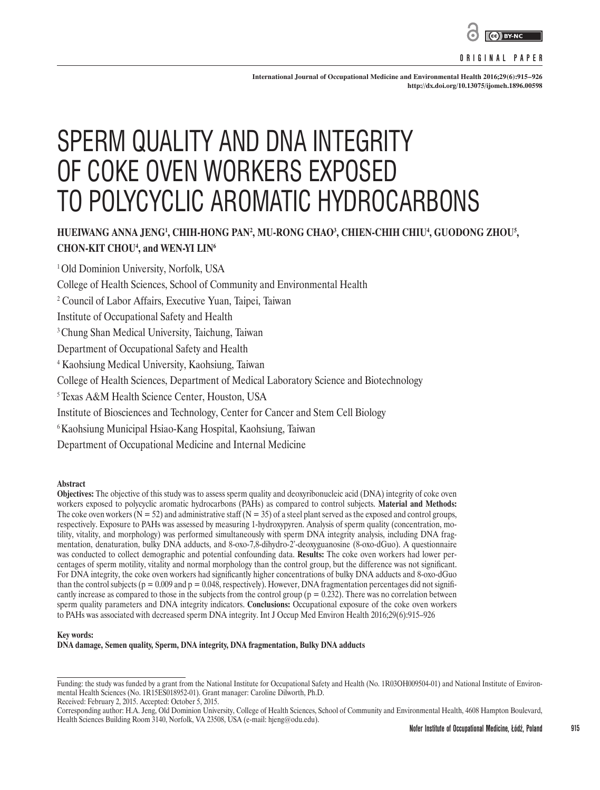

## **ORIGINAL PAPER**

**International Journal of Occupational Medicine and Environmental Health 2016;29(6):915–926 <http://dx.doi.org/10.13075/ijomeh.1896.00598>**

# SPERM QUALITY AND DNA INTEGRITY OF COKE OVEN WORKERS EXPOSED TO POLYCYCLIC AROMATIC HYDROCARBONS

# HUEIWANG ANNA JENG<sup>1</sup>, CHIH-HONG PAN<sup>2</sup>, MU-RONG CHAO', CHIEN-CHIH CHIU', GUODONG ZHOU', **CHON-KIT CHOU4 , and WEN-YI LIN6**

<sup>1</sup> Old Dominion University, Norfolk, USA

College of Health Sciences, School of Community and Environmental Health

2 Council of Labor Affairs, Executive Yuan, Taipei, Taiwan

Institute of Occupational Safety and Health

<sup>3</sup> Chung Shan Medical University, Taichung, Taiwan

Department of Occupational Safety and Health

4 Kaohsiung Medical University, Kaohsiung, Taiwan

College of Health Sciences, Department of Medical Laboratory Science and Biotechnology

5 Texas A&M Health Science Center, Houston, USA

Institute of Biosciences and Technology, Center for Cancer and Stem Cell Biology

6 Kaohsiung Municipal Hsiao-Kang Hospital, Kaohsiung, Taiwan

Department of Occupational Medicine and Internal Medicine

**Abstract**

**Objectives:** The objective of this study was to assess sperm quality and deoxyribonucleic acid (DNA) integrity of coke oven workers exposed to polycyclic aromatic hydrocarbons (PAHs) as compared to control subjects. **Material and Methods:** The coke oven workers ( $N = 52$ ) and administrative staff ( $N = 35$ ) of a steel plant served as the exposed and control groups, respectively. Exposure to PAHs was assessed by measuring 1-hydroxypyren. Analysis of sperm quality (concentration, motility, vitality, and morphology) was performed simultaneously with sperm DNA integrity analysis, including DNA fragmentation, denaturation, bulky DNA adducts, and 8-oxo-7,8-dihydro-2'-deoxyguanosine (8-oxo-dGuo). A questionnaire was conducted to collect demographic and potential confounding data. **Results:** The coke oven workers had lower percentages of sperm motility, vitality and normal morphology than the control group, but the difference was not significant. For DNA integrity, the coke oven workers had significantly higher concentrations of bulky DNA adducts and 8-oxo-dGuo than the control subjects ( $p = 0.009$  and  $p = 0.048$ , respectively). However, DNA fragmentation percentages did not significantly increase as compared to those in the subjects from the control group ( $p = 0.232$ ). There was no correlation between sperm quality parameters and DNA integrity indicators. **Conclusions:** Occupational exposure of the coke oven workers to PAHs was associated with decreased sperm DNA integrity. Int J Occup Med Environ Health 2016;29(6):915–926

#### **Key words:**

**DNA damage, Semen quality, Sperm, DNA integrity, DNA fragmentation, Bulky DNA adducts**

Received: February 2, 2015. Accepted: October 5, 2015.

**915**

Funding: the study was funded by a grant from the National Institute for Occupational Safety and Health (No. 1R03OH009504-01) and National Institute of Environmental Health Sciences (No. 1R15ES018952-01). Grant manager: Caroline Dilworth, Ph.D.

Corresponding author: H.A. Jeng, Old Dominion University, College of Health Sciences, School of Community and Environmental Health, 4608 Hampton Boulevard, Health Sciences Building Room 3140, Norfolk, VA 23508, USA (e-mail: hjeng@odu.edu).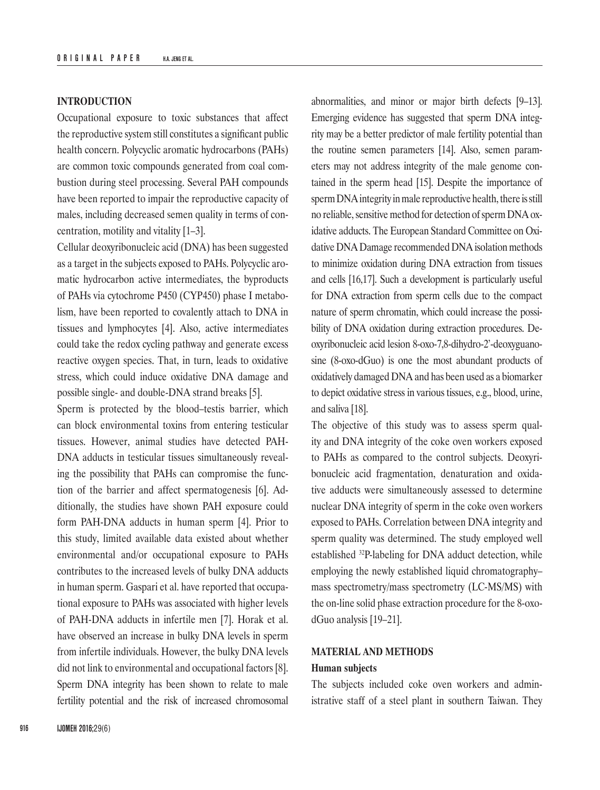# **INTRODUCTION**

Occupational exposure to toxic substances that affect the reproductive system still constitutes a significant public health concern. Polycyclic aromatic hydrocarbons (PAHs) are common toxic compounds generated from coal combustion during steel processing. Several PAH compounds have been reported to impair the reproductive capacity of males, including decreased semen quality in terms of concentration, motility and vitality [1–3].

Cellular deoxyribonucleic acid (DNA) has been suggested as a target in the subjects exposed to PAHs. Polycyclic aromatic hydrocarbon active intermediates, the byproducts of PAHs via cytochrome P450 (CYP450) phase I metabolism, have been reported to covalently attach to DNA in tissues and lymphocytes [4]. Also, active intermediates could take the redox cycling pathway and generate excess reactive oxygen species. That, in turn, leads to oxidative stress, which could induce oxidative DNA damage and possible single- and double-DNA strand breaks [5].

Sperm is protected by the blood–testis barrier, which can block environmental toxins from entering testicular tissues. However, animal studies have detected PAH-DNA adducts in testicular tissues simultaneously revealing the possibility that PAHs can compromise the function of the barrier and affect spermatogenesis [6]. Additionally, the studies have shown PAH exposure could form PAH-DNA adducts in human sperm [4]. Prior to this study, limited available data existed about whether environmental and/or occupational exposure to PAHs contributes to the increased levels of bulky DNA adducts in human sperm. Gaspari et al. have reported that occupational exposure to PAHs was associated with higher levels of PAH-DNA adducts in infertile men [7]. Horak et al. have observed an increase in bulky DNA levels in sperm from infertile individuals. However, the bulky DNA levels did not link to environmental and occupational factors [8]. Sperm DNA integrity has been shown to relate to male fertility potential and the risk of increased chromosomal

abnormalities, and minor or major birth defects [9–13]. Emerging evidence has suggested that sperm DNA integrity may be a better predictor of male fertility potential than the routine semen parameters [14]. Also, semen parameters may not address integrity of the male genome contained in the sperm head [15]. Despite the importance of spermDNAintegrity in male reproductive health, there is still no reliable, sensitive method for detection of sperm DNA oxidative adducts. The European Standard Committee on Oxidative DNA Damage recommended DNA isolation methods to minimize oxidation during DNA extraction from tissues and cells [16,17]. Such a development is particularly useful for DNA extraction from sperm cells due to the compact nature of sperm chromatin, which could increase the possibility of DNA oxidation during extraction procedures. Deoxyribonucleic acid lesion 8-oxo-7,8-dihydro-2'-deoxyguanosine (8-oxo-dGuo) is one the most abundant products of oxidatively damaged DNA and has been used as a biomarker to depict oxidative stress in various tissues, e.g., blood, urine, and saliva [18].

The objective of this study was to assess sperm quality and DNA integrity of the coke oven workers exposed to PAHs as compared to the control subjects. Deoxyribonucleic acid fragmentation, denaturation and oxidative adducts were simultaneously assessed to determine nuclear DNA integrity of sperm in the coke oven workers exposed to PAHs. Correlation between DNA integrity and sperm quality was determined. The study employed well established 32P-labeling for DNA adduct detection, while employing the newly established liquid chromatography– mass spectrometry/mass spectrometry (LC-MS/MS) with the on-line solid phase extraction procedure for the 8-oxodGuo analysis [19–21].

# **MATERIAL AND METHODS**

# **Human subjects**

The subjects included coke oven workers and administrative staff of a steel plant in southern Taiwan. They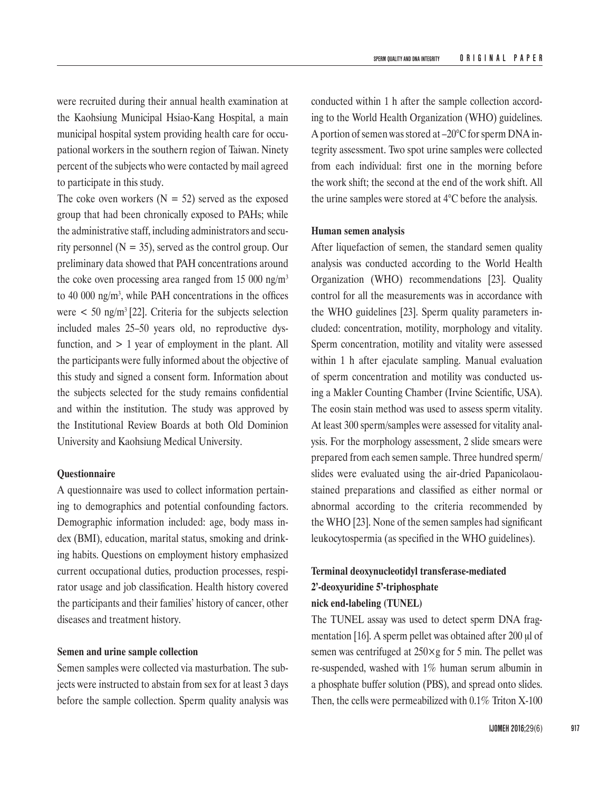were recruited during their annual health examination at the Kaohsiung Municipal Hsiao-Kang Hospital, a main municipal hospital system providing health care for occupational workers in the southern region of Taiwan. Ninety percent of the subjects who were contacted by mail agreed to participate in this study.

The coke oven workers  $(N = 52)$  served as the exposed group that had been chronically exposed to PAHs; while the administrative staff, including administrators and security personnel ( $N = 35$ ), served as the control group. Our preliminary data showed that PAH concentrations around the coke oven processing area ranged from 15 000 ng/m<sup>3</sup> to 40 000 ng/m3 , while PAH concentrations in the offices were  $\lt$  50 ng/m<sup>3</sup> [22]. Criteria for the subjects selection included males 25–50 years old, no reproductive dysfunction, and > 1 year of employment in the plant. All the participants were fully informed about the objective of this study and signed a consent form. Information about the subjects selected for the study remains confidential and within the institution. The study was approved by the Institutional Review Boards at both Old Dominion University and Kaohsiung Medical University.

# **Questionnaire**

A questionnaire was used to collect information pertaining to demographics and potential confounding factors. Demographic information included: age, body mass index (BMI), education, marital status, smoking and drinking habits. Questions on employment history emphasized current occupational duties, production processes, respirator usage and job classification. Health history covered the participants and their families' history of cancer, other diseases and treatment history.

## **Semen and urine sample collection**

Semen samples were collected via masturbation. The subjects were instructed to abstain from sex for at least 3 days before the sample collection. Sperm quality analysis was conducted within 1 h after the sample collection according to the World Health Organization (WHO) guidelines. A portion of semen was stored at –20°C for sperm DNA integrity assessment. Two spot urine samples were collected from each individual: first one in the morning before the work shift; the second at the end of the work shift. All the urine samples were stored at 4°C before the analysis.

## **Human semen analysis**

After liquefaction of semen, the standard semen quality analysis was conducted according to the World Health Organization (WHO) recommendations [23]. Quality control for all the measurements was in accordance with the WHO guidelines [23]. Sperm quality parameters included: concentration, motility, morphology and vitality. Sperm concentration, motility and vitality were assessed within 1 h after ejaculate sampling. Manual evaluation of sperm concentration and motility was conducted using a Makler Counting Chamber (Irvine Scientific, USA). The eosin stain method was used to assess sperm vitality. At least 300 sperm/samples were assessed for vitality analysis. For the morphology assessment, 2 slide smears were prepared from each semen sample. Three hundred sperm/ slides were evaluated using the air-dried Papanicolaoustained preparations and classified as either normal or abnormal according to the criteria recommended by the WHO [23]. None of the semen samples had significant leukocytospermia (as specified in the WHO guidelines).

# **Terminal deoxynucleotidyl transferase-mediated 2'-deoxyuridine 5'-triphosphate nick end-labeling (TUNEL)**

The TUNEL assay was used to detect sperm DNA fragmentation [16]. A sperm pellet was obtained after 200 μl of semen was centrifuged at  $250 \times g$  for 5 min. The pellet was re-suspended, washed with 1% human serum albumin in a phosphate buffer solution (PBS), and spread onto slides. Then, the cells were permeabilized with 0.1% Triton X-100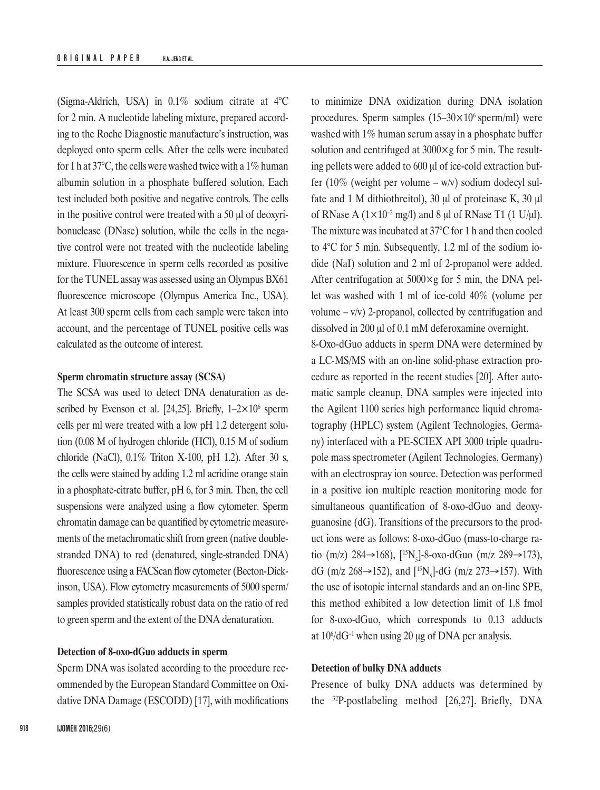(Sigma-Aldrich, USA) in 0.1% sodium citrate at 4°C for 2 min. A nucleotide labeling mixture, prepared according to the Roche Diagnostic manufacture's instruction, was deployed onto sperm cells. After the cells were incubated for 1 h at 37 $\degree$ C, the cells were washed twice with a 1% human albumin solution in a phosphate buffered solution. Each test included both positive and negative controls. The cells in the positive control were treated with a 50 μl of deoxyribonuclease (DNase) solution, while the cells in the negative control were not treated with the nucleotide labeling mixture. Fluorescence in sperm cells recorded as positive for the TUNEL assay was assessed using an Olympus BX61 fluorescence microscope (Olympus America Inc., USA). At least 300 sperm cells from each sample were taken into account, and the percentage of TUNEL positive cells was calculated as the outcome of interest.

# **Sperm chromatin structure assay (SCSA)**

The SCSA was used to detect DNA denaturation as described by Evenson et al. [24,25]. Briefly,  $1-2\times10^6$  sperm cells per ml were treated with a low pH 1.2 detergent solution (0.08 M of hydrogen chloride (HCl), 0.15 M of sodium chloride (NaCl), 0.1% Triton X-100, pH 1.2). After 30 s, the cells were stained by adding 1.2 ml acridine orange stain in a phosphate-citrate buffer, pH 6, for 3 min. Then, the cell suspensions were analyzed using a flow cytometer. Sperm chromatin damage can be quantified by cytometric measurements of the metachromatic shift from green (native doublestranded DNA) to red (denatured, single-stranded DNA) fluorescence using a FACScan flow cytometer (Becton-Dickinson, USA). Flow cytometry measurements of 5000 sperm/ samples provided statistically robust data on the ratio of red to green sperm and the extent of the DNA denaturation.

## **Detection of 8-oxo-dGuo adducts in sperm**

Sperm DNA was isolated according to the procedure recommended by the European Standard Committee on Oxidative DNA Damage (ESCODD) [17], with modifications

to minimize DNA oxidization during DNA isolation procedures. Sperm samples  $(15-30\times10^6 \text{ sperm/ml})$  were washed with 1% human serum assay in a phosphate buffer solution and centrifuged at  $3000 \times g$  for 5 min. The resulting pellets were added to 600 μl of ice-cold extraction buffer (10% (weight per volume –  $w/v$ ) sodium dodecyl sulfate and 1 M dithiothreitol), 30 μl of proteinase K, 30 μl of RNase A  $(1 \times 10^{-2} \text{ mg/l})$  and 8  $\mu$ l of RNase T1  $(1 \text{ U}/\mu\text{L})$ . The mixture was incubated at 37°C for 1 h and then cooled to 4°C for 5 min. Subsequently, 1.2 ml of the sodium iodide (NaI) solution and 2 ml of 2-propanol were added. After centrifugation at  $5000 \times g$  for 5 min, the DNA pellet was washed with 1 ml of ice-cold 40% (volume per volume  $-v/v$ ) 2-propanol, collected by centrifugation and dissolved in 200 μl of 0.1 mM deferoxamine overnight.

8-Oxo-dGuo adducts in sperm DNA were determined by a LC-MS/MS with an on-line solid-phase extraction procedure as reported in the recent studies [20]. After automatic sample cleanup, DNA samples were injected into the Agilent 1100 series high performance liquid chromatography (HPLC) system (Agilent Technologies, Germany) interfaced with a PE-SCIEX API 3000 triple quadrupole mass spectrometer (Agilent Technologies, Germany) with an electrospray ion source. Detection was performed in a positive ion multiple reaction monitoring mode for simultaneous quantification of 8-oxo-dGuo and deoxyguanosine (dG). Transitions of the precursors to the product ions were as follows: 8-oxo-dGuo (mass-to-charge ratio (m/z) 284→168), [<sup>15</sup>N<sub>5</sub>]-8-oxo-dGuo (m/z 289→173), dG (m/z 268→152), and [<sup>15</sup>N<sub>5</sub>]-dG (m/z 273→157). With the use of isotopic internal standards and an on-line SPE, this method exhibited a low detection limit of 1.8 fmol for 8-oxo-dGuo, which corresponds to 0.13 adducts at  $10^{\circ}/dG^{-1}$  when using 20 µg of DNA per analysis.

## **Detection of bulky DNA adducts**

Presence of bulky DNA adducts was determined by the 32P-postlabeling method [26,27]. Briefly, DNA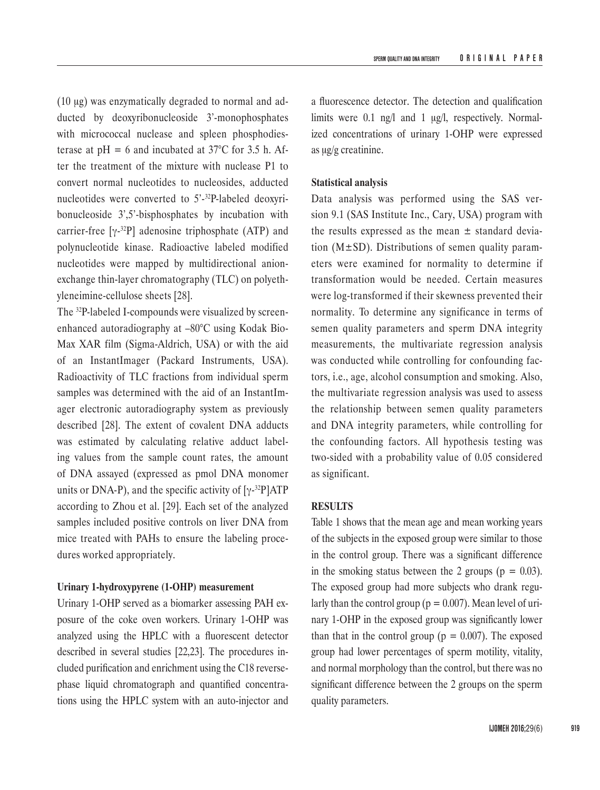(10 μg) was enzymatically degraded to normal and adducted by deoxyribonucleoside 3'-monophosphates with micrococcal nuclease and spleen phosphodiesterase at  $pH = 6$  and incubated at 37 $^{\circ}$ C for 3.5 h. After the treatment of the mixture with nuclease P1 to convert normal nucleotides to nucleosides, adducted nucleotides were converted to 5'-32P-labeled deoxyribonucleoside 3',5'-bisphosphates by incubation with carrier-free  $[\gamma^{-32}P]$  adenosine triphosphate (ATP) and polynucleotide kinase. Radioactive labeled modified nucleotides were mapped by multidirectional anionexchange thin-layer chromatography (TLC) on polyethyleneimine-cellulose sheets [28].

The 32P-labeled I-compounds were visualized by screenenhanced autoradiography at –80°C using Kodak Bio-Max XAR film (Sigma-Aldrich, USA) or with the aid of an InstantImager (Packard Instruments, USA). Radioactivity of TLC fractions from individual sperm samples was determined with the aid of an InstantImager electronic autoradiography system as previously described [28]. The extent of covalent DNA adducts was estimated by calculating relative adduct labeling values from the sample count rates, the amount of DNA assayed (expressed as pmol DNA monomer units or DNA-P), and the specific activity of  $[\gamma^{-32}P]ATP$ according to Zhou et al. [29]. Each set of the analyzed samples included positive controls on liver DNA from mice treated with PAHs to ensure the labeling procedures worked appropriately.

#### **Urinary 1-hydroxypyrene (1-OHP) measurement**

Urinary 1-OHP served as a biomarker assessing PAH exposure of the coke oven workers. Urinary 1-OHP was analyzed using the HPLC with a fluorescent detector described in several studies [22,23]. The procedures included purification and enrichment using the C18 reversephase liquid chromatograph and quantified concentrations using the HPLC system with an auto-injector and

a fluorescence detector. The detection and qualification limits were 0.1 ng/l and 1 μg/l, respectively. Normalized concentrations of urinary 1-OHP were expressed as μg/g creatinine.

## **Statistical analysis**

Data analysis was performed using the SAS version 9.1 (SAS Institute Inc., Cary, USA) program with the results expressed as the mean  $\pm$  standard deviation ( $M\pm SD$ ). Distributions of semen quality parameters were examined for normality to determine if transformation would be needed. Certain measures were log-transformed if their skewness prevented their normality. To determine any significance in terms of semen quality parameters and sperm DNA integrity measurements, the multivariate regression analysis was conducted while controlling for confounding factors, i.e., age, alcohol consumption and smoking. Also, the multivariate regression analysis was used to assess the relationship between semen quality parameters and DNA integrity parameters, while controlling for the confounding factors. All hypothesis testing was two-sided with a probability value of 0.05 considered as significant.

#### **RESULTS**

Table 1 shows that the mean age and mean working years of the subjects in the exposed group were similar to those in the control group. There was a significant difference in the smoking status between the 2 groups ( $p = 0.03$ ). The exposed group had more subjects who drank regularly than the control group ( $p = 0.007$ ). Mean level of urinary 1-OHP in the exposed group was significantly lower than that in the control group ( $p = 0.007$ ). The exposed group had lower percentages of sperm motility, vitality, and normal morphology than the control, but there was no significant difference between the 2 groups on the sperm quality parameters.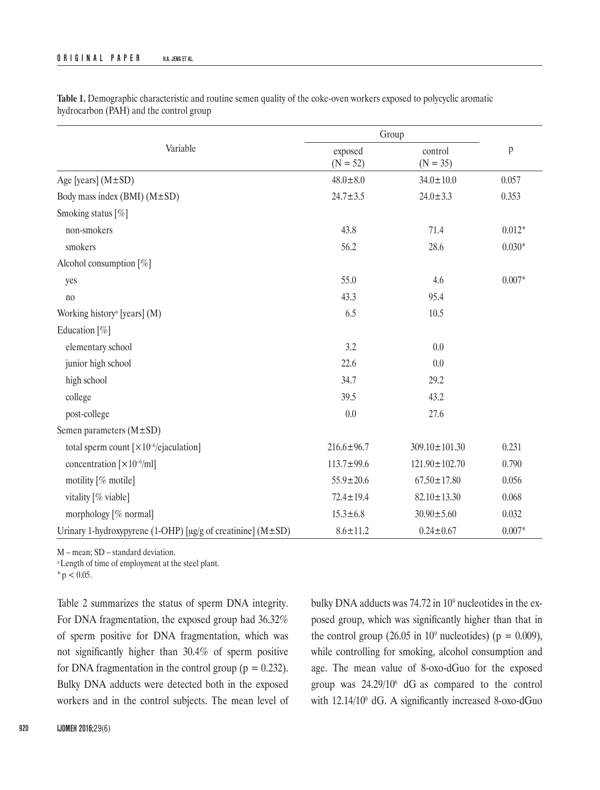|                                                                         | Group                 |                       |              |
|-------------------------------------------------------------------------|-----------------------|-----------------------|--------------|
| Variable                                                                | exposed<br>$(N = 52)$ | control<br>$(N = 35)$ | $\, {\bf p}$ |
| Age [years] $(M \pm SD)$                                                | $48.0 \pm 8.0$        | $34.0 \pm 10.0$       | 0.057        |
| Body mass index (BMI) $(M \pm SD)$                                      | $24.7 \pm 3.5$        | $24.0 \pm 3.3$        | 0.353        |
| Smoking status [%]                                                      |                       |                       |              |
| non-smokers                                                             | 43.8                  | 71.4                  | $0.012*$     |
| smokers                                                                 | 56.2                  | 28.6                  | $0.030*$     |
| Alcohol consumption [%]                                                 |                       |                       |              |
| yes                                                                     | 55.0                  | 4.6                   | $0.007*$     |
| no                                                                      | 43.3                  | 95.4                  |              |
| Working history <sup>a</sup> [years] (M)                                | 6.5                   | 10.5                  |              |
| Education [%]                                                           |                       |                       |              |
| elementary school                                                       | 3.2                   | 0.0                   |              |
| junior high school                                                      | 22.6                  | 0.0                   |              |
| high school                                                             | 34.7                  | 29.2                  |              |
| college                                                                 | 39.5                  | 43.2                  |              |
| post-college                                                            | $0.0\,$               | 27.6                  |              |
| Semen parameters $(M \pm SD)$                                           |                       |                       |              |
| total sperm count $\lceil \times 10^{-6}/e$ jaculation]                 | $216.6 \pm 96.7$      | $309.10 \pm 101.30$   | 0.231        |
| concentration $\left[\times 10^{-6} \text{/ml}\right]$                  | $113.7 \pm 99.6$      | $121.90 \pm 102.70$   | 0.790        |
| motility [% motile]                                                     | $55.9 \pm 20.6$       | $67.50 \pm 17.80$     | 0.056        |
| vitality [% viable]                                                     | $72.4 \pm 19.4$       | $82.10 \pm 13.30$     | 0.068        |
| morphology [% normal]                                                   | $15.3 \pm 6.8$        | $30.90 \pm 5.60$      | 0.032        |
| Urinary 1-hydroxypyrene (1-OHP) [ $\mu$ g/g of creatinine] (M $\pm$ SD) | $8.6 \pm 11.2$        | $0.24 \pm 0.67$       | $0.007*$     |

**Table 1.** Demographic characteristic and routine semen quality of the coke-oven workers exposed to polycyclic aromatic hydrocarbon (PAH) and the control group

M – mean; SD – standard deviation.

<sup>a</sup> Length of time of employment at the steel plant.

 $*$  p < 0.05.

Table 2 summarizes the status of sperm DNA integrity. For DNA fragmentation, the exposed group had 36.32% of sperm positive for DNA fragmentation, which was not significantly higher than 30.4% of sperm positive for DNA fragmentation in the control group ( $p = 0.232$ ). Bulky DNA adducts were detected both in the exposed workers and in the control subjects. The mean level of bulky DNA adducts was 74.72 in 10<sup>9</sup> nucleotides in the exposed group, which was significantly higher than that in the control group (26.05 in  $10^9$  nucleotides) (p = 0.009), while controlling for smoking, alcohol consumption and age. The mean value of 8-oxo-dGuo for the exposed group was  $24.29/10^6$  dG as compared to the control with 12.14/10<sup>6</sup> dG. A significantly increased 8-oxo-dGuo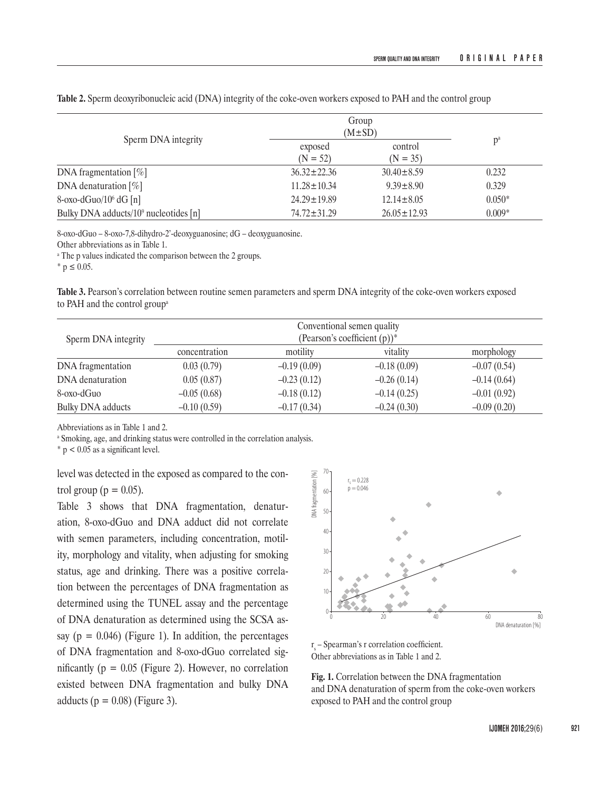| Sperm DNA integrity                       |                       | Group<br>$(M \pm SD)$ |          |
|-------------------------------------------|-----------------------|-----------------------|----------|
|                                           | exposed<br>$(N = 52)$ | control<br>$(N = 35)$ | $p^a$    |
| DNA fragmentation $[\%]$                  | $36.32 \pm 22.36$     | $30.40 \pm 8.59$      | 0.232    |
| DNA denaturation $[\%]$                   | $11.28 \pm 10.34$     | $9.39 \pm 8.90$       | 0.329    |
| 8-oxo-dGuo/ $106$ dG [n]                  | $24.29 \pm 19.89$     | $12.14 \pm 8.05$      | $0.050*$ |
| Bulky DNA adducts/ $10^9$ nucleotides [n] | $74.72 \pm 31.29$     | $26.05 \pm 12.93$     | $0.009*$ |

**Table 2.** Sperm deoxyribonucleic acid (DNA) integrity of the coke-oven workers exposed to PAH and the control group

8-oxo-dGuo – 8-oxo-7,8-dihydro-2'-deoxyguanosine; dG – deoxyguanosine.

Other abbreviations as in Table 1.

a The p values indicated the comparison between the 2 groups.

 $*$  p  $\leq$  0.05.

**Table 3.** Pearson's correlation between routine semen parameters and sperm DNA integrity of the coke-oven workers exposed to PAH and the control group<sup>a</sup>

| Sperm DNA integrity      | Conventional semen quality<br>(Pearson's coefficient $(p)$ )* |               |               |               |  |
|--------------------------|---------------------------------------------------------------|---------------|---------------|---------------|--|
|                          | concentration                                                 | motility      | vitality      | morphology    |  |
| DNA fragmentation        | 0.03(0.79)                                                    | $-0.19(0.09)$ | $-0.18(0.09)$ | $-0.07(0.54)$ |  |
| DNA denaturation         | 0.05(0.87)                                                    | $-0.23(0.12)$ | $-0.26(0.14)$ | $-0.14(0.64)$ |  |
| 8-oxo-dGuo               | $-0.05(0.68)$                                                 | $-0.18(0.12)$ | $-0.14(0.25)$ | $-0.01(0.92)$ |  |
| <b>Bulky DNA</b> adducts | $-0.10(0.59)$                                                 | $-0.17(0.34)$ | $-0.24(0.30)$ | $-0.09(0.20)$ |  |

Abbreviations as in Table 1 and 2.

a Smoking, age, and drinking status were controlled in the correlation analysis.

 $*$  p < 0.05 as a significant level.

level was detected in the exposed as compared to the control group ( $p = 0.05$ ).

Table 3 shows that DNA fragmentation, denaturation, 8-oxo-dGuo and DNA adduct did not correlate with semen parameters, including concentration, motility, morphology and vitality, when adjusting for smoking status, age and drinking. There was a positive correlation between the percentages of DNA fragmentation as determined using the TUNEL assay and the percentage of DNA denaturation as determined using the SCSA assay ( $p = 0.046$ ) (Figure 1). In addition, the percentages of DNA fragmentation and 8-oxo-dGuo correlated significantly ( $p = 0.05$  (Figure 2). However, no correlation existed between DNA fragmentation and bulky DNA adducts ( $p = 0.08$ ) (Figure 3).



 $r_s$  – Spearman's r correlation coefficient. Other abbreviations as in Table 1 and 2.

**Fig. 1.** Correlation between the DNA fragmentation and DNA denaturation of sperm from the coke-oven workers exposed to PAH and the control group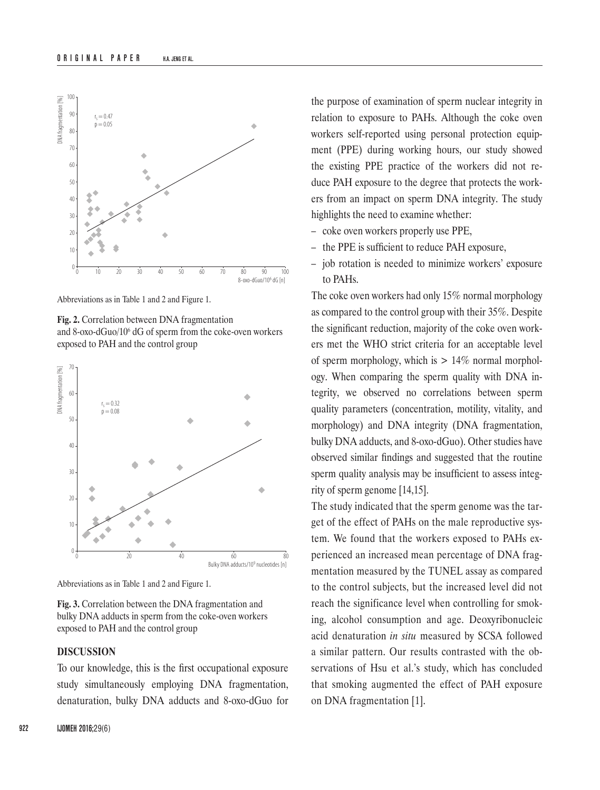

Abbreviations as in Table 1 and 2 and Figure 1.

**Fig. 2.** Correlation between DNA fragmentation and 8-oxo-dGuo/106 dG of sperm from the coke-oven workers exposed to PAH and the control group



Abbreviations as in Table 1 and 2 and Figure 1.

**Fig. 3.** Correlation between the DNA fragmentation and bulky DNA adducts in sperm from the coke-oven workers exposed to PAH and the control group

## **DISCUSSION**

To our knowledge, this is the first occupational exposure study simultaneously employing DNA fragmentation, denaturation, bulky DNA adducts and 8-oxo-dGuo for

the purpose of examination of sperm nuclear integrity in relation to exposure to PAHs. Although the coke oven workers self-reported using personal protection equipment (PPE) during working hours, our study showed the existing PPE practice of the workers did not reduce PAH exposure to the degree that protects the workers from an impact on sperm DNA integrity. The study highlights the need to examine whether:

- coke oven workers properly use PPE,
- the PPE is sufficient to reduce PAH exposure,
- job rotation is needed to minimize workers' exposure to PAHs.

The coke oven workers had only 15% normal morphology as compared to the control group with their 35%. Despite the significant reduction, majority of the coke oven workers met the WHO strict criteria for an acceptable level of sperm morphology, which is  $> 14\%$  normal morphology. When comparing the sperm quality with DNA integrity, we observed no correlations between sperm quality parameters (concentration, motility, vitality, and morphology) and DNA integrity (DNA fragmentation, bulky DNA adducts, and 8-oxo-dGuo). Other studies have observed similar findings and suggested that the routine sperm quality analysis may be insufficient to assess integrity of sperm genome [14,15].

The study indicated that the sperm genome was the target of the effect of PAHs on the male reproductive system. We found that the workers exposed to PAHs experienced an increased mean percentage of DNA fragmentation measured by the TUNEL assay as compared to the control subjects, but the increased level did not reach the significance level when controlling for smoking, alcohol consumption and age. Deoxyribonucleic acid denaturation *in situ* measured by SCSA followed a similar pattern. Our results contrasted with the observations of Hsu et al.'s study, which has concluded that smoking augmented the effect of PAH exposure on DNA fragmentation [1].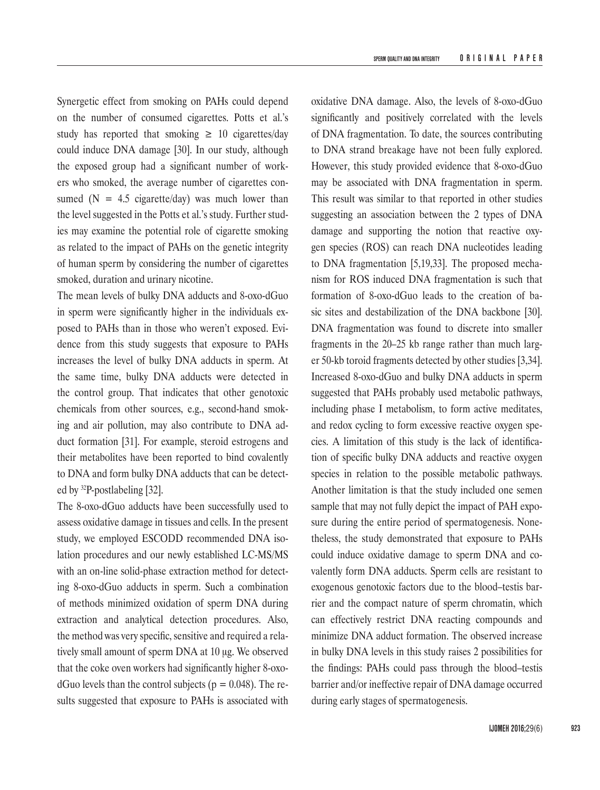Synergetic effect from smoking on PAHs could depend on the number of consumed cigarettes. Potts et al.'s study has reported that smoking  $\geq 10$  cigarettes/day could induce DNA damage [30]. In our study, although the exposed group had a significant number of workers who smoked, the average number of cigarettes consumed  $(N = 4.5$  cigarette/day) was much lower than the level suggested in the Potts et al.'s study. Further studies may examine the potential role of cigarette smoking as related to the impact of PAHs on the genetic integrity of human sperm by considering the number of cigarettes smoked, duration and urinary nicotine.

The mean levels of bulky DNA adducts and 8-oxo-dGuo in sperm were significantly higher in the individuals exposed to PAHs than in those who weren't exposed. Evidence from this study suggests that exposure to PAHs increases the level of bulky DNA adducts in sperm. At the same time, bulky DNA adducts were detected in the control group. That indicates that other genotoxic chemicals from other sources, e.g., second-hand smoking and air pollution, may also contribute to DNA adduct formation [31]. For example, steroid estrogens and their metabolites have been reported to bind covalently to DNA and form bulky DNA adducts that can be detected by 32P-postlabeling [32].

The 8-oxo-dGuo adducts have been successfully used to assess oxidative damage in tissues and cells. In the present study, we employed ESCODD recommended DNA isolation procedures and our newly established LC-MS/MS with an on-line solid-phase extraction method for detecting 8-oxo-dGuo adducts in sperm. Such a combination of methods minimized oxidation of sperm DNA during extraction and analytical detection procedures. Also, the method was very specific, sensitive and required a relatively small amount of sperm DNA at 10 μg. We observed that the coke oven workers had significantly higher 8-oxodGuo levels than the control subjects ( $p = 0.048$ ). The results suggested that exposure to PAHs is associated with

oxidative DNA damage. Also, the levels of 8-oxo-dGuo significantly and positively correlated with the levels of DNA fragmentation. To date, the sources contributing to DNA strand breakage have not been fully explored. However, this study provided evidence that 8-oxo-dGuo may be associated with DNA fragmentation in sperm. This result was similar to that reported in other studies suggesting an association between the 2 types of DNA damage and supporting the notion that reactive oxygen species (ROS) can reach DNA nucleotides leading to DNA fragmentation [5,19,33]. The proposed mechanism for ROS induced DNA fragmentation is such that formation of 8-oxo-dGuo leads to the creation of basic sites and destabilization of the DNA backbone [30]. DNA fragmentation was found to discrete into smaller fragments in the 20–25 kb range rather than much larger 50-kb toroid fragments detected by other studies [3,34]. Increased 8-oxo-dGuo and bulky DNA adducts in sperm suggested that PAHs probably used metabolic pathways, including phase I metabolism, to form active meditates, and redox cycling to form excessive reactive oxygen species. A limitation of this study is the lack of identification of specific bulky DNA adducts and reactive oxygen species in relation to the possible metabolic pathways. Another limitation is that the study included one semen sample that may not fully depict the impact of PAH exposure during the entire period of spermatogenesis. Nonetheless, the study demonstrated that exposure to PAHs could induce oxidative damage to sperm DNA and covalently form DNA adducts. Sperm cells are resistant to exogenous genotoxic factors due to the blood–testis barrier and the compact nature of sperm chromatin, which can effectively restrict DNA reacting compounds and minimize DNA adduct formation. The observed increase in bulky DNA levels in this study raises 2 possibilities for the findings: PAHs could pass through the blood–testis barrier and/or ineffective repair of DNA damage occurred during early stages of spermatogenesis.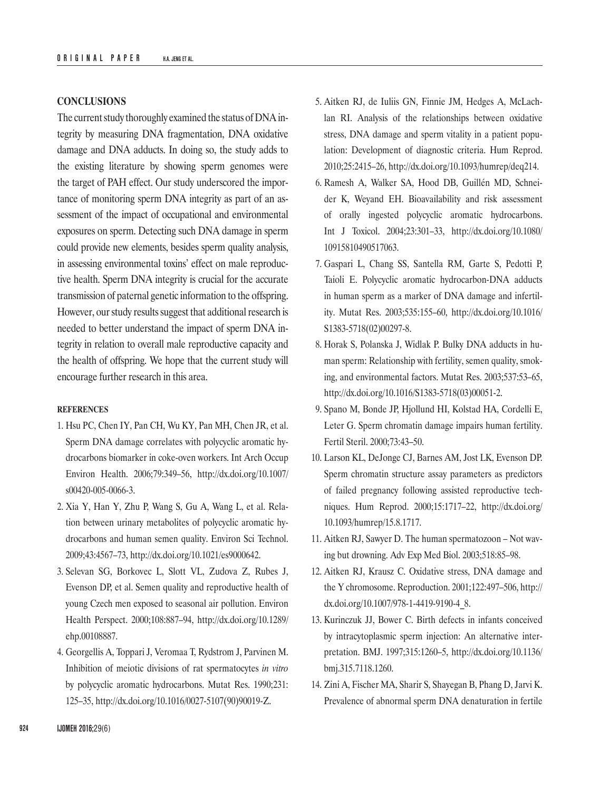## **CONCLUSIONS**

The current study thoroughly examined the status of DNAintegrity by measuring DNA fragmentation, DNA oxidative damage and DNA adducts. In doing so, the study adds to the existing literature by showing sperm genomes were the target of PAH effect. Our study underscored the importance of monitoring sperm DNA integrity as part of an assessment of the impact of occupational and environmental exposures on sperm. Detecting such DNA damage in sperm could provide new elements, besides sperm quality analysis, in assessing environmental toxins' effect on male reproductive health. Sperm DNA integrity is crucial for the accurate transmission of paternal genetic information to the offspring. However, our study results suggest that additional research is needed to better understand the impact of sperm DNA integrity in relation to overall male reproductive capacity and the health of offspring. We hope that the current study will encourage further research in this area.

## **REFERENCES**

- 1. Hsu PC, Chen IY, Pan CH, Wu KY, Pan MH, Chen JR, et al. Sperm DNA damage correlates with polycyclic aromatic hydrocarbons biomarker in coke-oven workers. Int Arch Occup Environ Health. 2006;79:349–56, [http://dx.doi.org/10.1007/](http://dx.doi.org/10.1007/s00420-005-0066-3) [s00420-005-0066-3](http://dx.doi.org/10.1007/s00420-005-0066-3).
- 2. Xia Y, Han Y, Zhu P, Wang S, Gu A, Wang L, et al. Relation between urinary metabolites of polycyclic aromatic hydrocarbons and human semen quality. Environ Sci Technol. 2009;43:4567–73, [http://dx.doi.org/10.1021/es9000642.](http://dx.doi.org/10.1021/es9000642)
- 3. Selevan SG, Borkovec L, Slott VL, Zudova Z, Rubes J, Evenson DP, et al. Semen quality and reproductive health of young Czech men exposed to seasonal air pollution. Environ Health Perspect. 2000;108:887–94, [http://dx.doi.org/10.1289/](http://dx.doi.org/10.1289/ehp.00108887) [ehp.00108887.](http://dx.doi.org/10.1289/ehp.00108887)
- 4. Georgellis A, Toppari J, Veromaa T, Rydstrom J, Parvinen M. Inhibition of meiotic divisions of rat spermatocytes *in vitro* by polycyclic aromatic hydrocarbons. Mutat Res. 1990;231: 125–35, [http://dx.doi.org/10.1016/0027-5107\(90\)90019-Z](http://dx.doi.org/10.1016/0027-5107%2890%2990019-Z).
- 5. Aitken RJ, de Iuliis GN, Finnie JM, Hedges A, McLachlan RI. Analysis of the relationships between oxidative stress, DNA damage and sperm vitality in a patient population: Development of diagnostic criteria. Hum Reprod. 2010;25:2415–26, <http://dx.doi.org/10.1093/humrep/deq214>.
- 6. Ramesh A, Walker SA, Hood DB, Guillén MD, Schneider K, Weyand EH. Bioavailability and risk assessment of orally ingested polycyclic aromatic hydrocarbons. Int J Toxicol. 2004;23:301–33, [http://dx.doi.org/10.1080/](http://dx.doi.org/10.1080/10915810490517063) [10915810490517063.](http://dx.doi.org/10.1080/10915810490517063)
- 7. Gaspari L, Chang SS, Santella RM, Garte S, Pedotti P, Taioli E. Polycyclic aromatic hydrocarbon-DNA adducts in human sperm as a marker of DNA damage and infertility. Mutat Res. 2003;535:155–60, [http://dx.doi.org/10.1016/](http://dx.doi.org/10.1016/S1383-5718%2802%2900297-8) [S1383-5718\(02\)00297-8](http://dx.doi.org/10.1016/S1383-5718%2802%2900297-8).
- 8. Horak S, Polanska J, Widlak P. Bulky DNA adducts in human sperm: Relationship with fertility, semen quality, smoking, and environmental factors. Mutat Res. 2003;537:53–65, [http://dx.doi.org/10.1016/S1383-5718\(03\)00051-2.](http://dx.doi.org/10.1016/S1383-5718%2803%2900051-2)
- 9. Spano M, Bonde JP, Hjollund HI, Kolstad HA, Cordelli E, Leter G. Sperm chromatin damage impairs human fertility. Fertil Steril. 2000;73:43–50.
- 10. Larson KL, DeJonge CJ, Barnes AM, Jost LK, Evenson DP. Sperm chromatin structure assay parameters as predictors of failed pregnancy following assisted reproductive techniques. Hum Reprod. 2000;15:1717–22, [http://dx.doi.org/](http://dx.doi.org/10.1093/humrep/15.8.1717) [10.1093/humrep/15.8.1717](http://dx.doi.org/10.1093/humrep/15.8.1717).
- 11. Aitken RJ, Sawyer D. The human spermatozoon Not waving but drowning. Adv Exp Med Biol. 2003;518:85–98.
- 12. Aitken RJ, Krausz C. Oxidative stress, DNA damage and the Y chromosome. Reproduction. 2001;122:497–506, [http://](http://dx.doi.org/10.1007/978-1-4419-9190-4_8) [dx.doi.org/10.1007/978-1-4419-9190-4\\_8](http://dx.doi.org/10.1007/978-1-4419-9190-4_8).
- 13. Kurinczuk JJ, Bower C. Birth defects in infants conceived by intracytoplasmic sperm injection: An alternative interpretation. BMJ. 1997;315:1260–5, [http://dx.doi.org/10.1136/](http://dx.doi.org/10.1136/bmj.315.7118.1260) [bmj.315.7118.1260.](http://dx.doi.org/10.1136/bmj.315.7118.1260)
- 14. Zini A, Fischer MA, Sharir S, Shayegan B, Phang D, Jarvi K. Prevalence of abnormal sperm DNA denaturation in fertile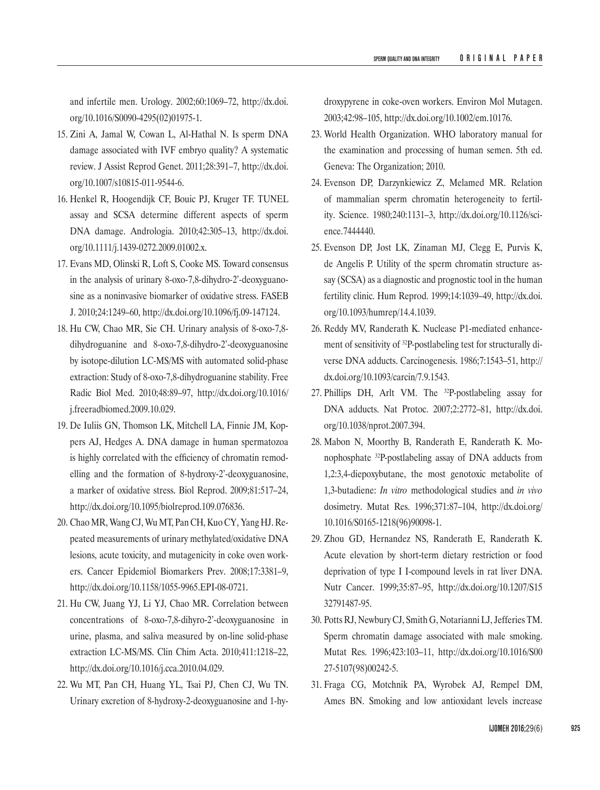and infertile men. Urology. 2002;60:1069–72, [http://dx.doi.](http://dx.doi.org/10.1016/S0090-4295%2802%2901975-1) [org/10.1016/S0090-4295\(02\)01975-1](http://dx.doi.org/10.1016/S0090-4295%2802%2901975-1).

- 15. Zini A, Jamal W, Cowan L, Al-Hathal N. Is sperm DNA damage associated with IVF embryo quality? A systematic review. J Assist Reprod Genet. 2011;28:391–7, [http://dx.doi.](http://dx.doi.org/10.1007/s10815-011-9544-6) [org/10.1007/s10815-011-9544-6.](http://dx.doi.org/10.1007/s10815-011-9544-6)
- 16. Henkel R, Hoogendijk CF, Bouic PJ, Kruger TF. TUNEL assay and SCSA determine different aspects of sperm DNA damage. Andrologia. 2010;42:305–13, [http://dx.doi.](http://dx.doi.org/10.1111/j.1439-0272.2009.01002.x) [org/10.1111/j.1439-0272.2009.01002.x](http://dx.doi.org/10.1111/j.1439-0272.2009.01002.x).
- 17. Evans MD, Olinski R, Loft S, Cooke MS. Toward consensus in the analysis of urinary 8-oxo-7,8-dihydro-2'-deoxyguanosine as a noninvasive biomarker of oxidative stress. FASEB J. 2010;24:1249–60, [http://dx.doi.org/10.1096/fj.09-147124.](http://dx.doi.org/10.1096/fj.09-147124)
- 18. Hu CW, Chao MR, Sie CH. Urinary analysis of 8-oxo-7,8 dihydroguanine and 8-oxo-7,8-dihydro-2'-deoxyguanosine by isotope-dilution LC-MS/MS with automated solid-phase extraction: Study of 8-oxo-7,8-dihydroguanine stability. Free Radic Biol Med. 2010;48:89–97, [http://dx.doi.org/10.1016/](http://dx.doi.org/10.1016/j.freeradbiomed.2009.10.029) [j.freeradbiomed.2009.10.029](http://dx.doi.org/10.1016/j.freeradbiomed.2009.10.029).
- 19. De Iuliis GN, Thomson LK, Mitchell LA, Finnie JM, Koppers AJ, Hedges A. DNA damage in human spermatozoa is highly correlated with the efficiency of chromatin remodelling and the formation of 8-hydroxy-2'-deoxyguanosine, a marker of oxidative stress. Biol Reprod. 2009;81:517–24, [http://dx.doi.org/10.1095/biolreprod.109.076836.](http://dx.doi.org/10.1095/biolreprod.109.076836)
- 20. Chao MR, Wang CJ, Wu MT, Pan CH, Kuo CY, Yang HJ. Repeated measurements of urinary methylated/oxidative DNA lesions, acute toxicity, and mutagenicity in coke oven workers. Cancer Epidemiol Biomarkers Prev. 2008;17:3381–9, <http://dx.doi.org/10.1158/1055-9965.EPI-08-0721>.
- 21. Hu CW, Juang YJ, Li YJ, Chao MR. Correlation between concentrations of 8-oxo-7,8-dihyro-2'-deoxyguanosine in urine, plasma, and saliva measured by on-line solid-phase extraction LC-MS/MS. Clin Chim Acta. 2010;411:1218–22, <http://dx.doi.org/10.1016/j.cca.2010.04.029>.
- 22. Wu MT, Pan CH, Huang YL, Tsai PJ, Chen CJ, Wu TN. Urinary excretion of 8-hydroxy-2-deoxyguanosine and 1-hy-

droxypyrene in coke-oven workers. Environ Mol Mutagen. 2003;42:98–105, [http://dx.doi.org/10.1002/em.10176.](http://dx.doi.org/10.1002/em.10176)

- 23. World Health Organization. WHO laboratory manual for the examination and processing of human semen. 5th ed. Geneva: The Organization; 2010.
- 24. Evenson DP, Darzynkiewicz Z, Melamed MR. Relation of mammalian sperm chromatin heterogeneity to fertility. Science. 1980;240:1131–3, [http://dx.doi.org/10.1126/sci](http://dx.doi.org/10.1126/science.7444440)[ence.7444440](http://dx.doi.org/10.1126/science.7444440).
- 25. Evenson DP, Jost LK, Zinaman MJ, Clegg E, Purvis K, de Angelis P. Utility of the sperm chromatin structure assay (SCSA) as a diagnostic and prognostic tool in the human fertility clinic. Hum Reprod. 1999;14:1039–49, [http://dx.doi.](http://dx.doi.org/10.1093/humrep/14.4.1039) [org/10.1093/humrep/14.4.1039.](http://dx.doi.org/10.1093/humrep/14.4.1039)
- 26. Reddy MV, Randerath K. Nuclease P1-mediated enhancement of sensitivity of 32P-postlabeling test for structurally diverse DNA adducts. Carcinogenesis. 1986;7:1543–51, [http://](http://dx.doi.org/10.1093/carcin/7.9.1543) [dx.doi.org/10.1093/carcin/7.9.1543](http://dx.doi.org/10.1093/carcin/7.9.1543).
- 27. Phillips DH, Arlt VM. The <sup>32</sup>P-postlabeling assay for DNA adducts. Nat Protoc. 2007;2:2772–81, [http://dx.doi.](http://dx.doi.org/10.1038/nprot.2007.394) [org/10.1038/nprot.2007.394.](http://dx.doi.org/10.1038/nprot.2007.394)
- 28. Mabon N, Moorthy B, Randerath E, Randerath K. Monophosphate 32P-postlabeling assay of DNA adducts from 1,2:3,4-diepoxybutane, the most genotoxic metabolite of 1,3-butadiene: *In vitro* methodological studies and *in vivo* dosimetry. Mutat Res. 1996;371:87–104, [http://dx.doi.org/](http://dx.doi.org/10.1016/S0165-1218%2896%2990098-1) [10.1016/S0165-1218\(96\)90098-1](http://dx.doi.org/10.1016/S0165-1218%2896%2990098-1).
- 29. Zhou GD, Hernandez NS, Randerath E, Randerath K. Acute elevation by short-term dietary restriction or food deprivation of type I I-compound levels in rat liver DNA. Nutr Cancer. 1999;35:87–95, [http://dx.doi.org/10.1207/S15](http://dx.doi.org/10.1207/S1532791487-95) [32791487-95](http://dx.doi.org/10.1207/S1532791487-95).
- 30. Potts RJ, Newbury CJ, Smith G, Notarianni LJ, Jefferies TM. Sperm chromatin damage associated with male smoking. Mutat Res. 1996;423:103–11, [http://dx.doi.org/10.1016/S00](http://dx.doi.org/10.1016/S0027-5107%2898%2900242-5) [27-5107\(98\)00242-5](http://dx.doi.org/10.1016/S0027-5107%2898%2900242-5).
- 31. Fraga CG, Motchnik PA, Wyrobek AJ, Rempel DM, Ames BN. Smoking and low antioxidant levels increase